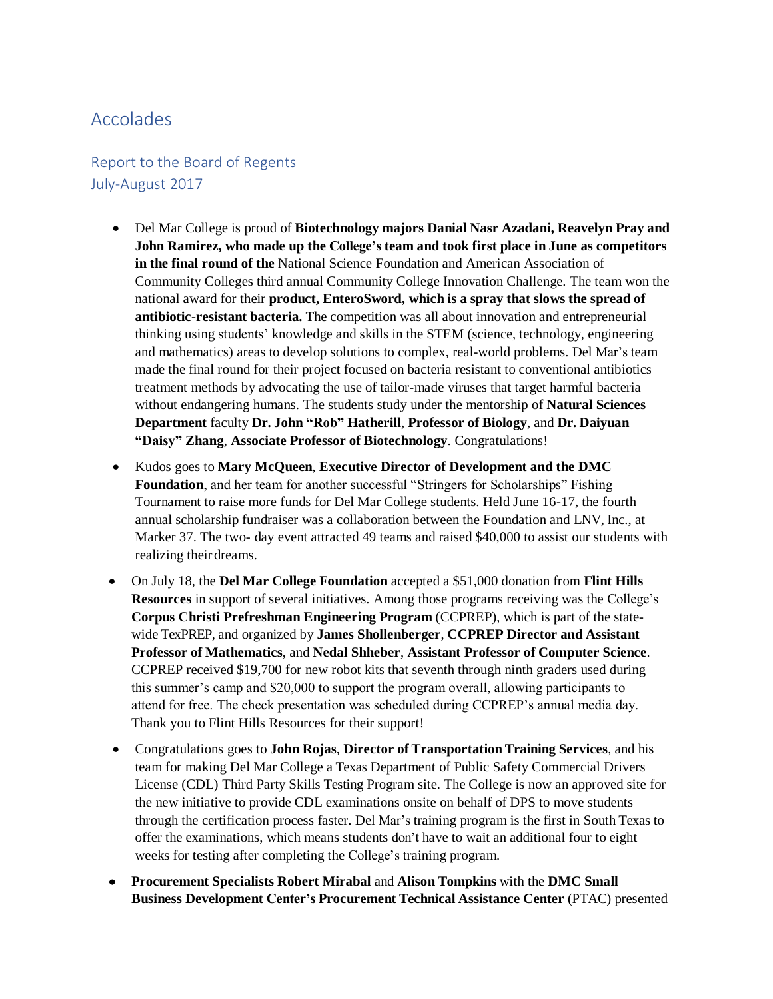## Accolades

## Report to the Board of Regents July-August 2017

- Del Mar College is proud of **Biotechnology majors Danial Nasr Azadani, Reavelyn Pray and John Ramirez, who made up the College's team and took first place in June as competitors in the final round of the** National Science Foundation and American Association of Community Colleges third annual Community College Innovation Challenge. The team won the national award for their **product, EnteroSword, which is a spray that slows the spread of antibiotic-resistant bacteria.** The competition was all about innovation and entrepreneurial thinking using students' knowledge and skills in the STEM (science, technology, engineering and mathematics) areas to develop solutions to complex, real-world problems. Del Mar's team made the final round for their project focused on bacteria resistant to conventional antibiotics treatment methods by advocating the use of tailor-made viruses that target harmful bacteria without endangering humans. The students study under the mentorship of **Natural Sciences Department** faculty **Dr. John "Rob" Hatherill**, **Professor of Biology**, and **Dr. Daiyuan "Daisy" Zhang**, **Associate Professor of Biotechnology**. Congratulations!
- Kudos goes to **Mary McQueen**, **Executive Director of Development and the DMC Foundation**, and her team for another successful "Stringers for Scholarships" Fishing Tournament to raise more funds for Del Mar College students. Held June 16-17, the fourth annual scholarship fundraiser was a collaboration between the Foundation and LNV, Inc., at Marker 37. The two- day event attracted 49 teams and raised \$40,000 to assist our students with realizing their dreams.
- On July 18, the **Del Mar College Foundation** accepted a \$51,000 donation from **Flint Hills Resources** in support of several initiatives. Among those programs receiving was the College's **Corpus Christi Prefreshman Engineering Program** (CCPREP), which is part of the statewide TexPREP, and organized by **James Shollenberger**, **CCPREP Director and Assistant Professor of Mathematics**, and **Nedal Shheber**, **Assistant Professor of Computer Science**. CCPREP received \$19,700 for new robot kits that seventh through ninth graders used during this summer's camp and \$20,000 to support the program overall, allowing participants to attend for free. The check presentation was scheduled during CCPREP's annual media day. Thank you to Flint Hills Resources for their support!
- Congratulations goes to **John Rojas**, **Director of Transportation Training Services**, and his team for making Del Mar College a Texas Department of Public Safety Commercial Drivers License (CDL) Third Party Skills Testing Program site. The College is now an approved site for the new initiative to provide CDL examinations onsite on behalf of DPS to move students through the certification process faster. Del Mar's training program is the first in South Texas to offer the examinations, which means students don't have to wait an additional four to eight weeks for testing after completing the College's training program.
- **Procurement Specialists Robert Mirabal** and **Alison Tompkins** with the **DMC Small Business Development Center's Procurement Technical Assistance Center** (PTAC) presented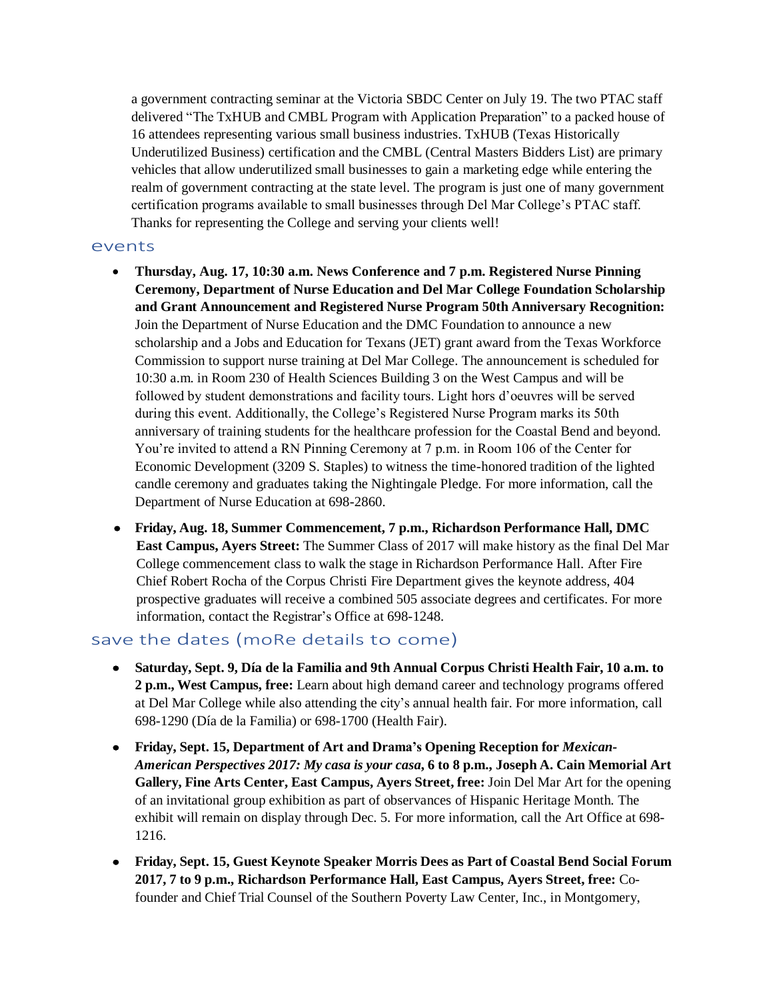a government contracting seminar at the Victoria SBDC Center on July 19. The two PTAC staff delivered "The TxHUB and CMBL Program with Application Preparation" to a packed house of 16 attendees representing various small business industries. TxHUB (Texas Historically Underutilized Business) certification and the CMBL (Central Masters Bidders List) are primary vehicles that allow underutilized small businesses to gain a marketing edge while entering the realm of government contracting at the state level. The program is just one of many government certification programs available to small businesses through Del Mar College's PTAC staff. Thanks for representing the College and serving your clients well!

## events

- **Thursday, Aug. 17, 10:30 a.m. News Conference and 7 p.m. Registered Nurse Pinning Ceremony, Department of Nurse Education and Del Mar College Foundation Scholarship and Grant Announcement and Registered Nurse Program 50th Anniversary Recognition:**  Join the Department of Nurse Education and the DMC Foundation to announce a new scholarship and a Jobs and Education for Texans (JET) grant award from the Texas Workforce Commission to support nurse training at Del Mar College. The announcement is scheduled for 10:30 a.m. in Room 230 of Health Sciences Building 3 on the West Campus and will be followed by student demonstrations and facility tours. Light hors d'oeuvres will be served during this event. Additionally, the College's Registered Nurse Program marks its 50th anniversary of training students for the healthcare profession for the Coastal Bend and beyond. You're invited to attend a RN Pinning Ceremony at 7 p.m. in Room 106 of the Center for Economic Development (3209 S. Staples) to witness the time-honored tradition of the lighted candle ceremony and graduates taking the Nightingale Pledge. For more information, call the Department of Nurse Education at 698-2860.
- **Friday, Aug. 18, Summer Commencement, 7 p.m., Richardson Performance Hall, DMC East Campus, Ayers Street:** The Summer Class of 2017 will make history as the final Del Mar College commencement class to walk the stage in Richardson Performance Hall. After Fire Chief Robert Rocha of the Corpus Christi Fire Department gives the keynote address, 404 prospective graduates will receive a combined 505 associate degrees and certificates. For more information, contact the Registrar's Office at 698-1248.

## save the dates (moRe details to come)

- **Saturday, Sept. 9, Día de la Familia and 9th Annual Corpus Christi Health Fair, 10 a.m. to 2 p.m., West Campus, free:** Learn about high demand career and technology programs offered at Del Mar College while also attending the city's annual health fair. For more information, call 698-1290 (Día de la Familia) or 698-1700 (Health Fair).
- **Friday, Sept. 15, Department of Art and Drama's Opening Reception for** *Mexican-American Perspectives 2017: My casa is your casa***, 6 to 8 p.m., Joseph A. Cain Memorial Art Gallery, Fine Arts Center, East Campus, Ayers Street, free:** Join Del Mar Art for the opening of an invitational group exhibition as part of observances of Hispanic Heritage Month. The exhibit will remain on display through Dec. 5. For more information, call the Art Office at 698- 1216.
- **Friday, Sept. 15, Guest Keynote Speaker Morris Dees as Part of Coastal Bend Social Forum 2017, 7 to 9 p.m., Richardson Performance Hall, East Campus, Ayers Street, free:** Cofounder and Chief Trial Counsel of the Southern Poverty Law Center, Inc., in Montgomery,